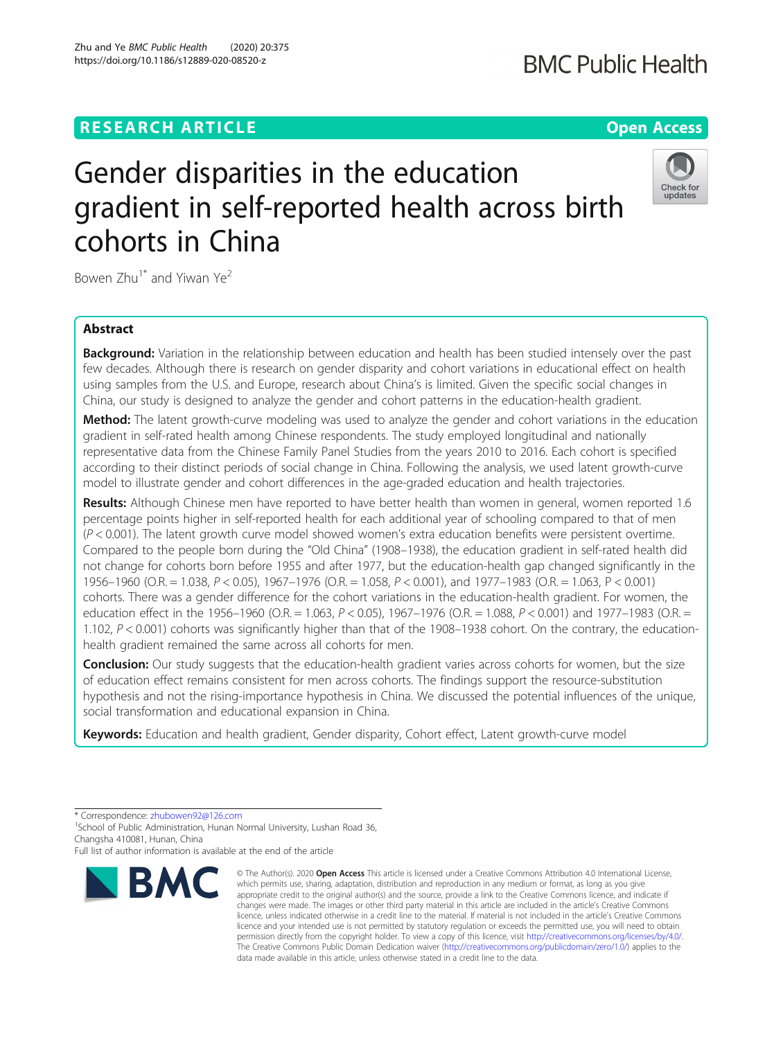## **RESEARCH ARTICLE Example 2014 12:30 The Contract of Contract ACCESS**

# Gender disparities in the education gradient in self-reported health across birth cohorts in China

Bowen  $Zhu^{1*}$  and Yiwan Ye<sup>2</sup>

## Abstract

Background: Variation in the relationship between education and health has been studied intensely over the past few decades. Although there is research on gender disparity and cohort variations in educational effect on health using samples from the U.S. and Europe, research about China's is limited. Given the specific social changes in China, our study is designed to analyze the gender and cohort patterns in the education-health gradient.

Method: The latent growth-curve modeling was used to analyze the gender and cohort variations in the education gradient in self-rated health among Chinese respondents. The study employed longitudinal and nationally representative data from the Chinese Family Panel Studies from the years 2010 to 2016. Each cohort is specified according to their distinct periods of social change in China. Following the analysis, we used latent growth-curve model to illustrate gender and cohort differences in the age-graded education and health trajectories.

Results: Although Chinese men have reported to have better health than women in general, women reported 1.6 percentage points higher in self-reported health for each additional year of schooling compared to that of men  $(P < 0.001)$ . The latent growth curve model showed women's extra education benefits were persistent overtime. Compared to the people born during the "Old China" (1908–1938), the education gradient in self-rated health did not change for cohorts born before 1955 and after 1977, but the education-health gap changed significantly in the 1956–1960 (O.R. = 1.038, P < 0.05), 1967–1976 (O.R. = 1.058, P < 0.001), and 1977–1983 (O.R. = 1.063, P < 0.001) cohorts. There was a gender difference for the cohort variations in the education-health gradient. For women, the education effect in the 1956–1960 (O.R. = 1.063, P < 0.05), 1967–1976 (O.R. = 1.088, P < 0.001) and 1977–1983 (O.R. = 1.102, P < 0.001) cohorts was significantly higher than that of the 1908–1938 cohort. On the contrary, the educationhealth gradient remained the same across all cohorts for men.

**Conclusion:** Our study suggests that the education-health gradient varies across cohorts for women, but the size of education effect remains consistent for men across cohorts. The findings support the resource-substitution hypothesis and not the rising-importance hypothesis in China. We discussed the potential influences of the unique, social transformation and educational expansion in China.

Keywords: Education and health gradient, Gender disparity, Cohort effect, Latent growth-curve model

\* Correspondence: [zhubowen92@126.com](mailto:zhubowen92@126.com) <sup>1</sup>

**BMC** 

<sup>1</sup>School of Public Administration, Hunan Normal University, Lushan Road 36,

Full list of author information is available at the end of the article

© The Author(s), 2020 **Open Access** This article is licensed under a Creative Commons Attribution 4.0 International License, which permits use, sharing, adaptation, distribution and reproduction in any medium or format, as long as you give appropriate credit to the original author(s) and the source, provide a link to the Creative Commons licence, and indicate if changes were made. The images or other third party material in this article are included in the article's Creative Commons



**BMC Public Health** 



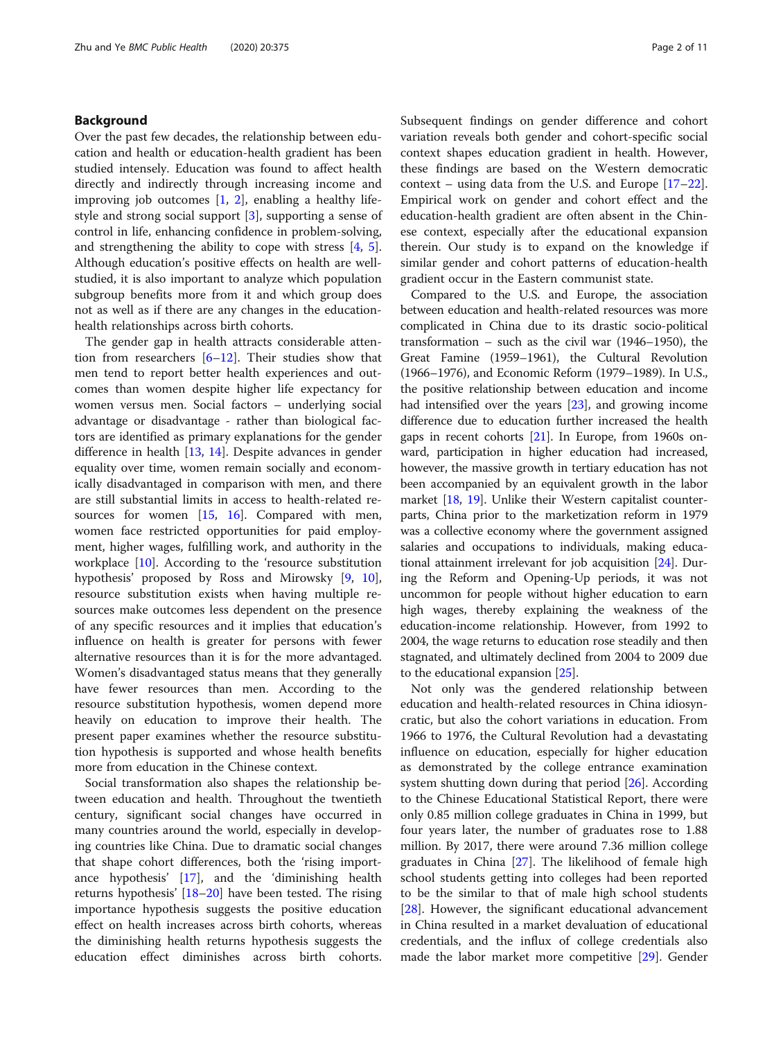## Background

Over the past few decades, the relationship between education and health or education-health gradient has been studied intensely. Education was found to affect health directly and indirectly through increasing income and improving job outcomes  $[1, 2]$  $[1, 2]$  $[1, 2]$  $[1, 2]$  $[1, 2]$ , enabling a healthy lifestyle and strong social support [\[3](#page-9-0)], supporting a sense of control in life, enhancing confidence in problem-solving, and strengthening the ability to cope with stress [\[4](#page-9-0), [5](#page-9-0)]. Although education's positive effects on health are wellstudied, it is also important to analyze which population subgroup benefits more from it and which group does not as well as if there are any changes in the educationhealth relationships across birth cohorts.

The gender gap in health attracts considerable attention from researchers [[6](#page-9-0)–[12](#page-9-0)]. Their studies show that men tend to report better health experiences and outcomes than women despite higher life expectancy for women versus men. Social factors – underlying social advantage or disadvantage - rather than biological factors are identified as primary explanations for the gender difference in health [\[13](#page-9-0), [14\]](#page-9-0). Despite advances in gender equality over time, women remain socially and economically disadvantaged in comparison with men, and there are still substantial limits in access to health-related re-sources for women [[15](#page-9-0), [16\]](#page-9-0). Compared with men, women face restricted opportunities for paid employment, higher wages, fulfilling work, and authority in the workplace [[10](#page-9-0)]. According to the 'resource substitution hypothesis' proposed by Ross and Mirowsky [\[9](#page-9-0), [10](#page-9-0)], resource substitution exists when having multiple resources make outcomes less dependent on the presence of any specific resources and it implies that education's influence on health is greater for persons with fewer alternative resources than it is for the more advantaged. Women's disadvantaged status means that they generally have fewer resources than men. According to the resource substitution hypothesis, women depend more heavily on education to improve their health. The present paper examines whether the resource substitution hypothesis is supported and whose health benefits more from education in the Chinese context.

Social transformation also shapes the relationship between education and health. Throughout the twentieth century, significant social changes have occurred in many countries around the world, especially in developing countries like China. Due to dramatic social changes that shape cohort differences, both the 'rising importance hypothesis' [[17](#page-9-0)], and the 'diminishing health returns hypothesis' [\[18](#page-9-0)–[20\]](#page-9-0) have been tested. The rising importance hypothesis suggests the positive education effect on health increases across birth cohorts, whereas the diminishing health returns hypothesis suggests the education effect diminishes across birth cohorts. Subsequent findings on gender difference and cohort variation reveals both gender and cohort-specific social context shapes education gradient in health. However, these findings are based on the Western democratic context – using data from the U.S. and Europe [[17](#page-9-0)–[22](#page-9-0)]. Empirical work on gender and cohort effect and the education-health gradient are often absent in the Chinese context, especially after the educational expansion therein. Our study is to expand on the knowledge if similar gender and cohort patterns of education-health gradient occur in the Eastern communist state.

Compared to the U.S. and Europe, the association between education and health-related resources was more complicated in China due to its drastic socio-political transformation – such as the civil war (1946–1950), the Great Famine (1959–1961), the Cultural Revolution (1966–1976), and Economic Reform (1979–1989). In U.S., the positive relationship between education and income had intensified over the years [[23](#page-9-0)], and growing income difference due to education further increased the health gaps in recent cohorts [\[21\]](#page-9-0). In Europe, from 1960s onward, participation in higher education had increased, however, the massive growth in tertiary education has not been accompanied by an equivalent growth in the labor market [[18,](#page-9-0) [19](#page-9-0)]. Unlike their Western capitalist counterparts, China prior to the marketization reform in 1979 was a collective economy where the government assigned salaries and occupations to individuals, making educational attainment irrelevant for job acquisition [[24](#page-9-0)]. During the Reform and Opening-Up periods, it was not uncommon for people without higher education to earn high wages, thereby explaining the weakness of the education-income relationship. However, from 1992 to 2004, the wage returns to education rose steadily and then stagnated, and ultimately declined from 2004 to 2009 due to the educational expansion [\[25](#page-9-0)].

Not only was the gendered relationship between education and health-related resources in China idiosyncratic, but also the cohort variations in education. From 1966 to 1976, the Cultural Revolution had a devastating influence on education, especially for higher education as demonstrated by the college entrance examination system shutting down during that period [\[26\]](#page-9-0). According to the Chinese Educational Statistical Report, there were only 0.85 million college graduates in China in 1999, but four years later, the number of graduates rose to 1.88 million. By 2017, there were around 7.36 million college graduates in China [\[27](#page-9-0)]. The likelihood of female high school students getting into colleges had been reported to be the similar to that of male high school students [[28\]](#page-10-0). However, the significant educational advancement in China resulted in a market devaluation of educational credentials, and the influx of college credentials also made the labor market more competitive [[29](#page-10-0)]. Gender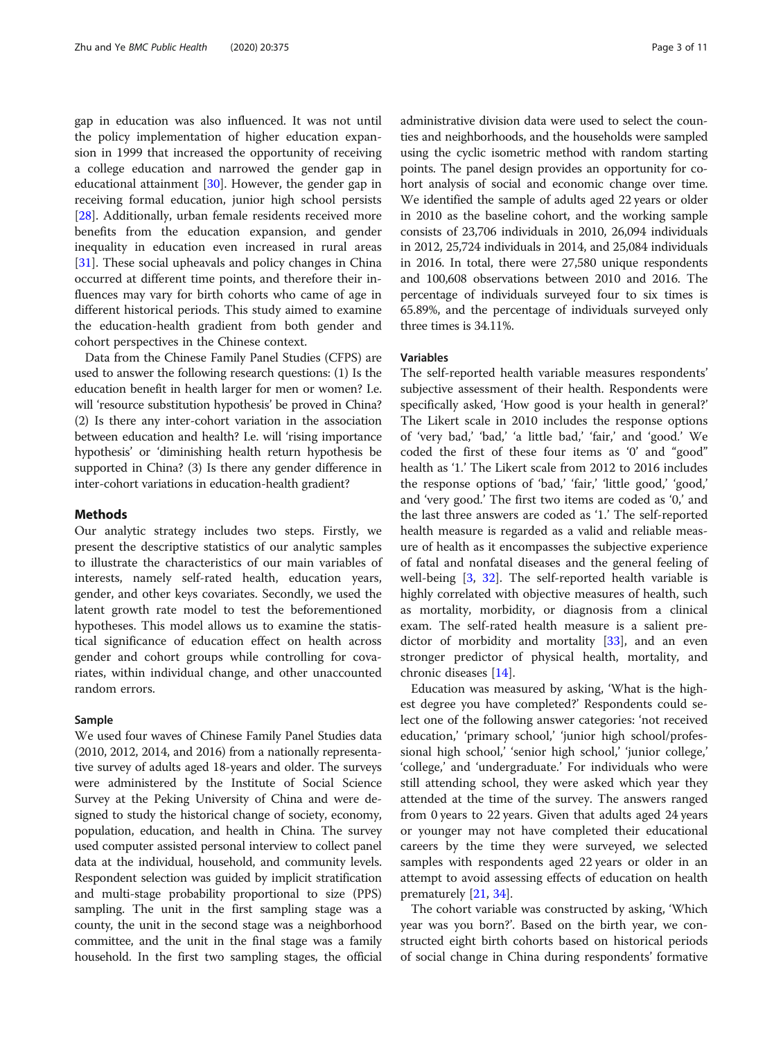gap in education was also influenced. It was not until the policy implementation of higher education expansion in 1999 that increased the opportunity of receiving a college education and narrowed the gender gap in educational attainment [[30](#page-10-0)]. However, the gender gap in receiving formal education, junior high school persists [[28\]](#page-10-0). Additionally, urban female residents received more benefits from the education expansion, and gender inequality in education even increased in rural areas [[31\]](#page-10-0). These social upheavals and policy changes in China occurred at different time points, and therefore their influences may vary for birth cohorts who came of age in different historical periods. This study aimed to examine the education-health gradient from both gender and cohort perspectives in the Chinese context.

Data from the Chinese Family Panel Studies (CFPS) are used to answer the following research questions: (1) Is the education benefit in health larger for men or women? I.e. will 'resource substitution hypothesis' be proved in China? (2) Is there any inter-cohort variation in the association between education and health? I.e. will 'rising importance hypothesis' or 'diminishing health return hypothesis be supported in China? (3) Is there any gender difference in inter-cohort variations in education-health gradient?

## Methods

Our analytic strategy includes two steps. Firstly, we present the descriptive statistics of our analytic samples to illustrate the characteristics of our main variables of interests, namely self-rated health, education years, gender, and other keys covariates. Secondly, we used the latent growth rate model to test the beforementioned hypotheses. This model allows us to examine the statistical significance of education effect on health across gender and cohort groups while controlling for covariates, within individual change, and other unaccounted random errors.

## Sample

We used four waves of Chinese Family Panel Studies data (2010, 2012, 2014, and 2016) from a nationally representative survey of adults aged 18-years and older. The surveys were administered by the Institute of Social Science Survey at the Peking University of China and were designed to study the historical change of society, economy, population, education, and health in China. The survey used computer assisted personal interview to collect panel data at the individual, household, and community levels. Respondent selection was guided by implicit stratification and multi-stage probability proportional to size (PPS) sampling. The unit in the first sampling stage was a county, the unit in the second stage was a neighborhood committee, and the unit in the final stage was a family household. In the first two sampling stages, the official administrative division data were used to select the counties and neighborhoods, and the households were sampled using the cyclic isometric method with random starting points. The panel design provides an opportunity for cohort analysis of social and economic change over time. We identified the sample of adults aged 22 years or older in 2010 as the baseline cohort, and the working sample consists of 23,706 individuals in 2010, 26,094 individuals in 2012, 25,724 individuals in 2014, and 25,084 individuals in 2016. In total, there were 27,580 unique respondents and 100,608 observations between 2010 and 2016. The percentage of individuals surveyed four to six times is 65.89%, and the percentage of individuals surveyed only three times is 34.11%.

## Variables

The self-reported health variable measures respondents' subjective assessment of their health. Respondents were specifically asked, 'How good is your health in general?' The Likert scale in 2010 includes the response options of 'very bad,' 'bad,' 'a little bad,' 'fair,' and 'good.' We coded the first of these four items as '0' and "good" health as '1.' The Likert scale from 2012 to 2016 includes the response options of 'bad,' 'fair,' 'little good,' 'good,' and 'very good.' The first two items are coded as '0,' and the last three answers are coded as '1.' The self-reported health measure is regarded as a valid and reliable measure of health as it encompasses the subjective experience of fatal and nonfatal diseases and the general feeling of well-being  $[3, 32]$  $[3, 32]$  $[3, 32]$  $[3, 32]$ . The self-reported health variable is highly correlated with objective measures of health, such as mortality, morbidity, or diagnosis from a clinical exam. The self-rated health measure is a salient pre-dictor of morbidity and mortality [\[33\]](#page-10-0), and an even stronger predictor of physical health, mortality, and chronic diseases [[14\]](#page-9-0).

Education was measured by asking, 'What is the highest degree you have completed?' Respondents could select one of the following answer categories: 'not received education,' 'primary school,' 'junior high school/professional high school,' 'senior high school,' 'junior college,' 'college,' and 'undergraduate.' For individuals who were still attending school, they were asked which year they attended at the time of the survey. The answers ranged from 0 years to 22 years. Given that adults aged 24 years or younger may not have completed their educational careers by the time they were surveyed, we selected samples with respondents aged 22 years or older in an attempt to avoid assessing effects of education on health prematurely [\[21](#page-9-0), [34\]](#page-10-0).

The cohort variable was constructed by asking, 'Which year was you born?'. Based on the birth year, we constructed eight birth cohorts based on historical periods of social change in China during respondents' formative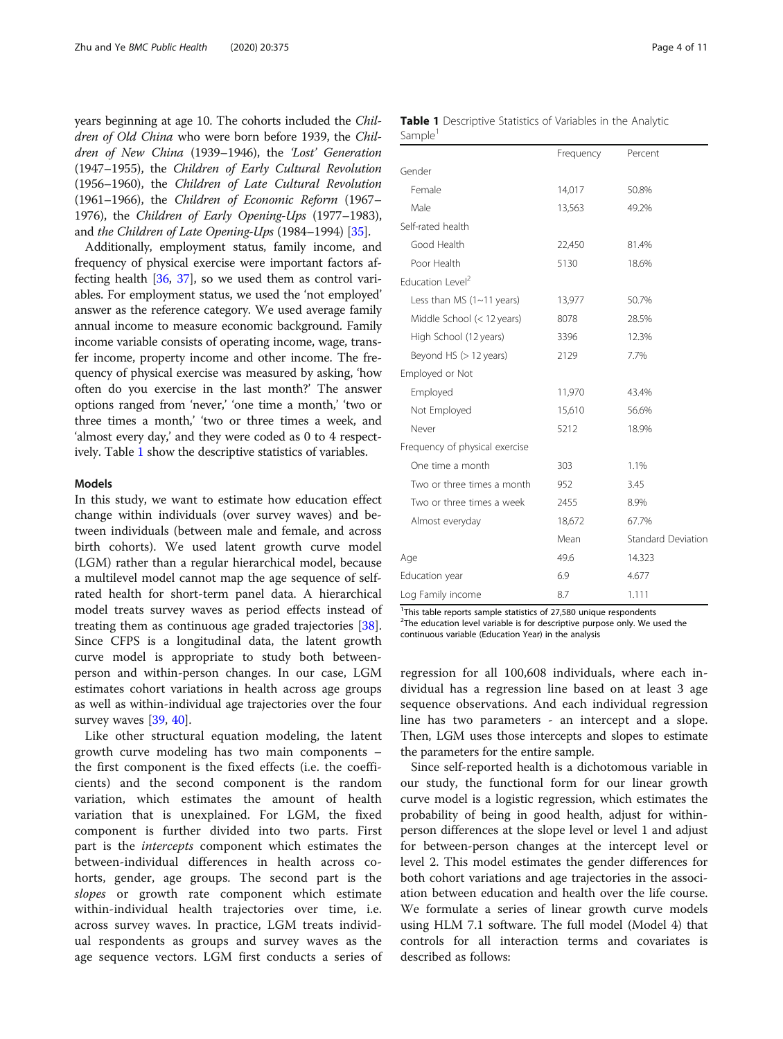years beginning at age 10. The cohorts included the Children of Old China who were born before 1939, the Children of New China (1939–1946), the 'Lost' Generation (1947–1955), the Children of Early Cultural Revolution (1956–1960), the Children of Late Cultural Revolution (1961–1966), the Children of Economic Reform (1967– 1976), the Children of Early Opening-Ups (1977–1983), and the Children of Late Opening-Ups (1984–1994) [\[35\]](#page-10-0).

Additionally, employment status, family income, and frequency of physical exercise were important factors affecting health [\[36,](#page-10-0) [37](#page-10-0)], so we used them as control variables. For employment status, we used the 'not employed' answer as the reference category. We used average family annual income to measure economic background. Family income variable consists of operating income, wage, transfer income, property income and other income. The frequency of physical exercise was measured by asking, 'how often do you exercise in the last month?' The answer options ranged from 'never,' 'one time a month,' 'two or three times a month,' 'two or three times a week, and 'almost every day,' and they were coded as 0 to 4 respectively. Table 1 show the descriptive statistics of variables.

### Models

In this study, we want to estimate how education effect change within individuals (over survey waves) and between individuals (between male and female, and across birth cohorts). We used latent growth curve model (LGM) rather than a regular hierarchical model, because a multilevel model cannot map the age sequence of selfrated health for short-term panel data. A hierarchical model treats survey waves as period effects instead of treating them as continuous age graded trajectories [\[38](#page-10-0)]. Since CFPS is a longitudinal data, the latent growth curve model is appropriate to study both betweenperson and within-person changes. In our case, LGM estimates cohort variations in health across age groups as well as within-individual age trajectories over the four survey waves [[39,](#page-10-0) [40](#page-10-0)].

Like other structural equation modeling, the latent growth curve modeling has two main components – the first component is the fixed effects (i.e. the coefficients) and the second component is the random variation, which estimates the amount of health variation that is unexplained. For LGM, the fixed component is further divided into two parts. First part is the intercepts component which estimates the between-individual differences in health across cohorts, gender, age groups. The second part is the slopes or growth rate component which estimate within-individual health trajectories over time, i.e. across survey waves. In practice, LGM treats individual respondents as groups and survey waves as the age sequence vectors. LGM first conducts a series of

|                     | Table 1 Descriptive Statistics of Variables in the Analytic |  |  |  |  |
|---------------------|-------------------------------------------------------------|--|--|--|--|
| Sample <sup>1</sup> |                                                             |  |  |  |  |

|                                | Frequency | Percent                   |
|--------------------------------|-----------|---------------------------|
| Gender                         |           |                           |
| Female                         | 14,017    | 50.8%                     |
| Male                           | 13,563    | 49.2%                     |
| Self-rated health              |           |                           |
| Good Health                    | 22,450    | 81.4%                     |
| Poor Health                    | 5130      | 18.6%                     |
| Education Level <sup>2</sup>   |           |                           |
| Less than MS $(1~1)$ years)    | 13,977    | 50.7%                     |
| Middle School (< 12 years)     | 8078      | 28.5%                     |
| High School (12 years)         | 3396      | 12.3%                     |
| Beyond HS (> 12 years)         | 2129      | 7.7%                      |
| Employed or Not                |           |                           |
| Employed                       | 11,970    | 43.4%                     |
| Not Employed                   | 15,610    | 56.6%                     |
| Never                          | 5212      | 18.9%                     |
| Frequency of physical exercise |           |                           |
| One time a month               | 303       | 1.1%                      |
| Two or three times a month     | 952       | 3.45                      |
| Two or three times a week      | 2455      | 8.9%                      |
| Almost everyday                | 18,672    | 67.7%                     |
|                                | Mean      | <b>Standard Deviation</b> |
| Age                            | 49.6      | 14.323                    |
| Education year                 | 6.9       | 4.677                     |
| Log Family income              | 8.7       | 1.111                     |
|                                |           |                           |

<sup>1</sup>This table reports sample statistics of 27,580 unique respondents <sup>2</sup>The education level variable is for descriptive purpose only. We used the continuous variable (Education Year) in the analysis

regression for all 100,608 individuals, where each individual has a regression line based on at least 3 age sequence observations. And each individual regression line has two parameters - an intercept and a slope. Then, LGM uses those intercepts and slopes to estimate the parameters for the entire sample.

Since self-reported health is a dichotomous variable in our study, the functional form for our linear growth curve model is a logistic regression, which estimates the probability of being in good health, adjust for withinperson differences at the slope level or level 1 and adjust for between-person changes at the intercept level or level 2. This model estimates the gender differences for both cohort variations and age trajectories in the association between education and health over the life course. We formulate a series of linear growth curve models using HLM 7.1 software. The full model (Model 4) that controls for all interaction terms and covariates is described as follows: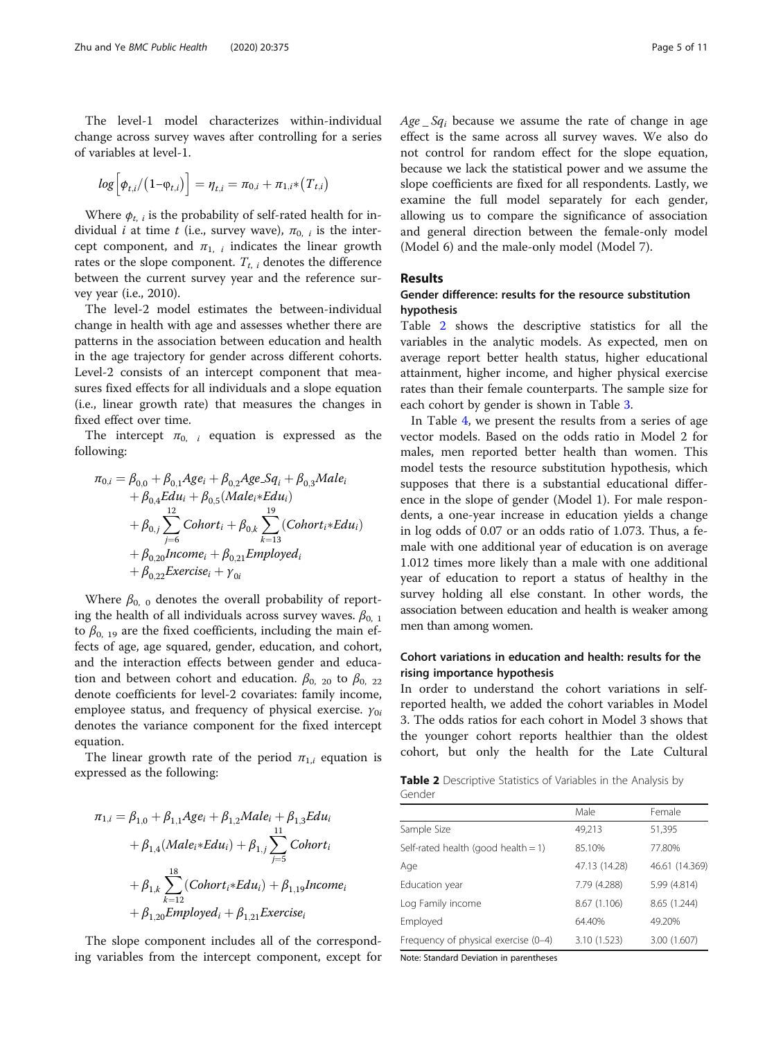The level-1 model characterizes within-individual change across survey waves after controlling for a series of variables at level-1.

$$
log\Big[\phi_{t,i}/(1-\phi_{t,i})\Big] = \eta_{t,i} = \pi_{0,i} + \pi_{1,i}*(T_{t,i})
$$

Where  $\phi_{t,i}$  is the probability of self-rated health for individual *i* at time *t* (i.e., survey wave),  $\pi_{0,i}$  is the intercept component, and  $\pi_{1, i}$  indicates the linear growth rates or the slope component.  $T_{t,\;i}$  denotes the difference between the current survey year and the reference survey year (i.e., 2010).

The level-2 model estimates the between-individual change in health with age and assesses whether there are patterns in the association between education and health in the age trajectory for gender across different cohorts. Level-2 consists of an intercept component that measures fixed effects for all individuals and a slope equation (i.e., linear growth rate) that measures the changes in fixed effect over time.

The intercept  $\pi_{0, i}$  equation is expressed as the following:

$$
\pi_{0,i} = \beta_{0,0} + \beta_{0,1} Age_i + \beta_{0,2} Age \cdot Sq_i + \beta_{0,3} Male_i \n+ \beta_{0,4} Edu_i + \beta_{0,5} (Male_i * Edu_i) \n+ \beta_{0,j} \sum_{j=6}^{12} Cohort_i + \beta_{0,k} \sum_{k=13}^{19} (Cohort_i * Edu_i) \n+ \beta_{0,20} Income_i + \beta_{0,21} Employee_i \n+ \beta_{0,22} Exercise_i + \gamma_{0i}
$$

Where  $\beta_{0,0}$  denotes the overall probability of reporting the health of all individuals across survey waves.  $\beta_{0,1}$ to  $\beta_{0, 19}$  are the fixed coefficients, including the main effects of age, age squared, gender, education, and cohort, and the interaction effects between gender and education and between cohort and education.  $\beta_{0, 20}$  to  $\beta_{0, 22}$ denote coefficients for level-2 covariates: family income, employee status, and frequency of physical exercise.  $\gamma_{0i}$ denotes the variance component for the fixed intercept equation.

The linear growth rate of the period  $\pi_{1,i}$  equation is expressed as the following:

$$
\pi_{1,i} = \beta_{1,0} + \beta_{1,1} Age_i + \beta_{1,2} Male_i + \beta_{1,3} Edu_i
$$
  
+  $\beta_{1,4} (Male_i * Edu_i) + \beta_{1,j} \sum_{j=5}^{11} Cohort_i$   
+  $\beta_{1,k} \sum_{k=12}^{18} (Color_i * Edu_i) + \beta_{1,19} Income_i$   
+  $\beta_{1,20} Employed_i + \beta_{1,21} Exercise_i$ 

The slope component includes all of the corresponding variables from the intercept component, except for  $Age\_Sq_i$  because we assume the rate of change in age effect is the same across all survey waves. We also do not control for random effect for the slope equation, because we lack the statistical power and we assume the slope coefficients are fixed for all respondents. Lastly, we examine the full model separately for each gender, allowing us to compare the significance of association and general direction between the female-only model (Model 6) and the male-only model (Model 7).

## Results

## Gender difference: results for the resource substitution hypothesis

Table 2 shows the descriptive statistics for all the variables in the analytic models. As expected, men on average report better health status, higher educational attainment, higher income, and higher physical exercise rates than their female counterparts. The sample size for each cohort by gender is shown in Table [3.](#page-5-0)

In Table [4](#page-6-0), we present the results from a series of age vector models. Based on the odds ratio in Model 2 for males, men reported better health than women. This model tests the resource substitution hypothesis, which supposes that there is a substantial educational difference in the slope of gender (Model 1). For male respondents, a one-year increase in education yields a change in log odds of 0.07 or an odds ratio of 1.073. Thus, a female with one additional year of education is on average 1.012 times more likely than a male with one additional year of education to report a status of healthy in the survey holding all else constant. In other words, the association between education and health is weaker among men than among women.

## Cohort variations in education and health: results for the rising importance hypothesis

In order to understand the cohort variations in selfreported health, we added the cohort variables in Model 3. The odds ratios for each cohort in Model 3 shows that the younger cohort reports healthier than the oldest cohort, but only the health for the Late Cultural

|        | <b>Table 2</b> Descriptive Statistics of Variables in the Analysis by |  |  |  |  |
|--------|-----------------------------------------------------------------------|--|--|--|--|
| Gender |                                                                       |  |  |  |  |

|                                        | Male          | Female         |
|----------------------------------------|---------------|----------------|
| Sample Size                            | 49.213        | 51,395         |
| Self-rated health (good health = $1$ ) | 85.10%        | 77.80%         |
| Age                                    | 47.13 (14.28) | 46.61 (14.369) |
| Education year                         | 7.79 (4.288)  | 5.99 (4.814)   |
| Log Family income                      | 8.67 (1.106)  | 8.65 (1.244)   |
| Employed                               | 64.40%        | 49.20%         |
| Frequency of physical exercise (0-4)   | 3.10 (1.523)  | 3.00 (1.607)   |

Note: Standard Deviation in parentheses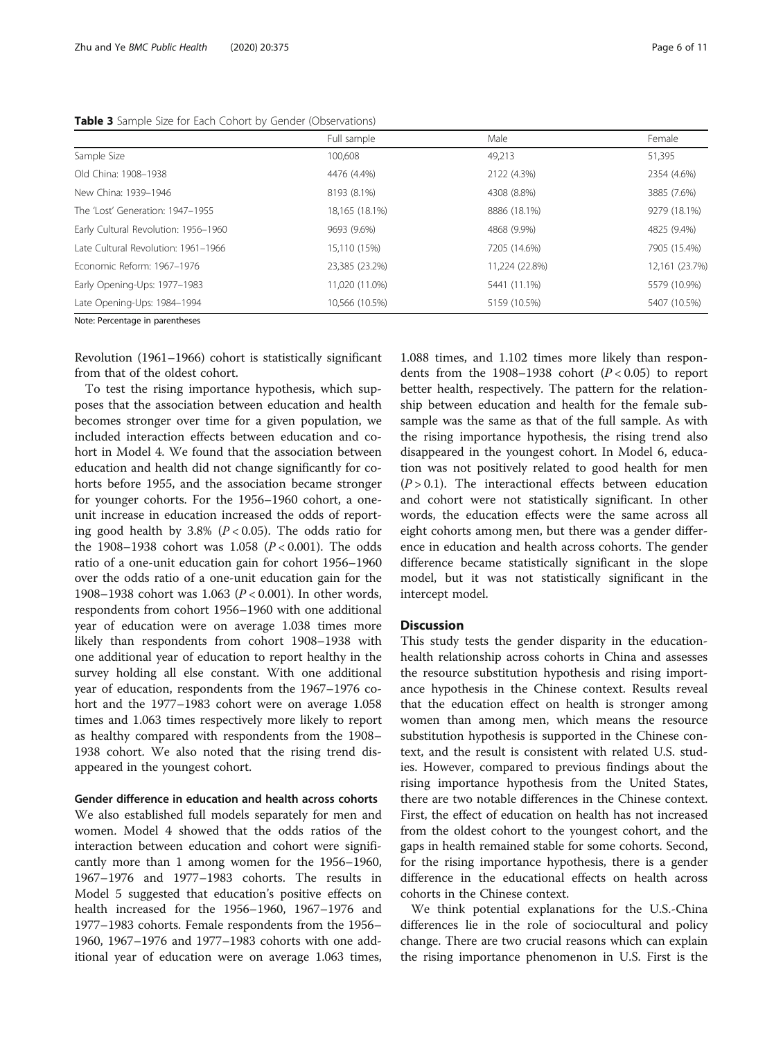|                                      | Full sample    | Male           | Female         |
|--------------------------------------|----------------|----------------|----------------|
| Sample Size                          | 100,608        | 49.213         | 51,395         |
| Old China: 1908-1938                 | 4476 (4.4%)    | 2122 (4.3%)    | 2354 (4.6%)    |
| New China: 1939-1946                 | 8193 (8.1%)    | 4308 (8.8%)    | 3885 (7.6%)    |
| The 'Lost' Generation: 1947-1955     | 18,165 (18.1%) | 8886 (18.1%)   | 9279 (18.1%)   |
| Early Cultural Revolution: 1956-1960 | 9693 (9.6%)    | 4868 (9.9%)    | 4825 (9.4%)    |
| Late Cultural Revolution: 1961-1966  | 15,110 (15%)   | 7205 (14.6%)   | 7905 (15.4%)   |
| Fronomic Reform: 1967-1976           | 23,385 (23.2%) | 11,224 (22.8%) | 12,161 (23.7%) |
| Early Opening-Ups: 1977-1983         | 11,020 (11.0%) | 5441 (11.1%)   | 5579 (10.9%)   |
| Late Opening-Ups: 1984-1994          | 10,566 (10.5%) | 5159 (10.5%)   | 5407 (10.5%)   |
|                                      |                |                |                |

<span id="page-5-0"></span>Table 3 Sample Size for Each Cohort by Gender (Observations)

Note: Percentage in parentheses

Revolution (1961–1966) cohort is statistically significant from that of the oldest cohort.

To test the rising importance hypothesis, which supposes that the association between education and health becomes stronger over time for a given population, we included interaction effects between education and cohort in Model 4. We found that the association between education and health did not change significantly for cohorts before 1955, and the association became stronger for younger cohorts. For the 1956–1960 cohort, a oneunit increase in education increased the odds of reporting good health by 3.8% ( $P < 0.05$ ). The odds ratio for the 1908–1938 cohort was 1.058 ( $P < 0.001$ ). The odds ratio of a one-unit education gain for cohort 1956–1960 over the odds ratio of a one-unit education gain for the 1908–1938 cohort was 1.063 (P < 0.001). In other words, respondents from cohort 1956–1960 with one additional year of education were on average 1.038 times more likely than respondents from cohort 1908–1938 with one additional year of education to report healthy in the survey holding all else constant. With one additional year of education, respondents from the 1967–1976 cohort and the 1977–1983 cohort were on average 1.058 times and 1.063 times respectively more likely to report as healthy compared with respondents from the 1908– 1938 cohort. We also noted that the rising trend disappeared in the youngest cohort.

#### Gender difference in education and health across cohorts

We also established full models separately for men and women. Model 4 showed that the odds ratios of the interaction between education and cohort were significantly more than 1 among women for the 1956–1960, 1967–1976 and 1977–1983 cohorts. The results in Model 5 suggested that education's positive effects on health increased for the 1956–1960, 1967–1976 and 1977–1983 cohorts. Female respondents from the 1956– 1960, 1967–1976 and 1977–1983 cohorts with one additional year of education were on average 1.063 times,

1.088 times, and 1.102 times more likely than respondents from the 1908–1938 cohort  $(P < 0.05)$  to report better health, respectively. The pattern for the relationship between education and health for the female subsample was the same as that of the full sample. As with the rising importance hypothesis, the rising trend also disappeared in the youngest cohort. In Model 6, education was not positively related to good health for men  $(P > 0.1)$ . The interactional effects between education and cohort were not statistically significant. In other words, the education effects were the same across all eight cohorts among men, but there was a gender difference in education and health across cohorts. The gender difference became statistically significant in the slope model, but it was not statistically significant in the intercept model.

## **Discussion**

This study tests the gender disparity in the educationhealth relationship across cohorts in China and assesses the resource substitution hypothesis and rising importance hypothesis in the Chinese context. Results reveal that the education effect on health is stronger among women than among men, which means the resource substitution hypothesis is supported in the Chinese context, and the result is consistent with related U.S. studies. However, compared to previous findings about the rising importance hypothesis from the United States, there are two notable differences in the Chinese context. First, the effect of education on health has not increased from the oldest cohort to the youngest cohort, and the gaps in health remained stable for some cohorts. Second, for the rising importance hypothesis, there is a gender difference in the educational effects on health across cohorts in the Chinese context.

We think potential explanations for the U.S.-China differences lie in the role of sociocultural and policy change. There are two crucial reasons which can explain the rising importance phenomenon in U.S. First is the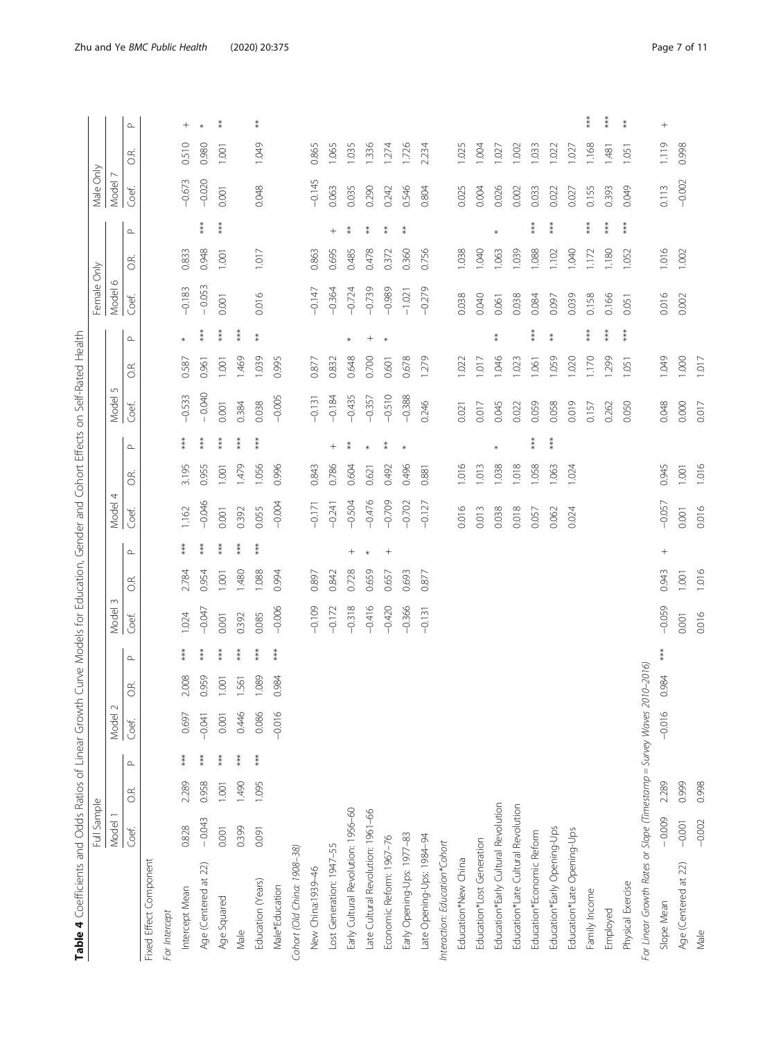| ï<br>i                                                             |  |
|--------------------------------------------------------------------|--|
| j<br>ï                                                             |  |
|                                                                    |  |
|                                                                    |  |
| うりり                                                                |  |
|                                                                    |  |
| ֖֖֖֖֪ׅׅ֪ׅ֪ׅ֪ׅ֪֪֪ׅ֪֪֪֪֪֪֪֪֪֪֪֪֪֪ׅ֧֚֚֚֚֚֚֚֚֚֚֚֚֚֚֚֚֚֚֚֚֡֝֝֕֝֬֓֓<br>ì |  |
|                                                                    |  |
| j<br>j<br>١<br>Ì                                                   |  |
| I<br>Ï<br>Ì                                                        |  |
| i<br>١<br>١                                                        |  |
| ļ<br>J<br>J<br>١                                                   |  |
| ١<br>j<br>5                                                        |  |
| ۱                                                                  |  |
| ž<br>j<br>j<br>I                                                   |  |
|                                                                    |  |
| ١                                                                  |  |
| j<br>ļ                                                             |  |
| ì<br>l                                                             |  |
| ś                                                                  |  |
| ֚֘֝֬<br>Ś<br>ׇׇ֚֘֕֡<br>١<br>I                                      |  |
| i<br>j<br>İ                                                        |  |
|                                                                    |  |
| S                                                                  |  |
|                                                                    |  |
| <b>בוחי</b><br>$\vdots$                                            |  |
|                                                                    |  |

<span id="page-6-0"></span>

|                                                                       | Full Sample |       |          |                  |                |          |          |       |            |            |       |          |            |       |            | Female Only      |       |               | Male Only |       |           |
|-----------------------------------------------------------------------|-------------|-------|----------|------------------|----------------|----------|----------|-------|------------|------------|-------|----------|------------|-------|------------|------------------|-------|---------------|-----------|-------|-----------|
|                                                                       | Model       |       |          | $\sim$<br>Model: |                |          | Model    |       |            | 4<br>Model |       |          | 5<br>Model |       |            | $\circ$<br>Model |       |               | Model     |       |           |
|                                                                       | Coef.       | CŘ.   | $\Delta$ | Coef.            | $\overline{O}$ | $\Delta$ | Coef.    | O.R.  | $\!\Delta$ | Coef.      | CR.   | $\Delta$ | Coef.      | O.R.  | $\!\Delta$ | Coef.            | GŔ.   | $\square$     | Coef.     | C.R.  | $\Delta$  |
| Fixed Effect Component                                                |             |       |          |                  |                |          |          |       |            |            |       |          |            |       |            |                  |       |               |           |       |           |
| For Intercept                                                         |             |       |          |                  |                |          |          |       |            |            |       |          |            |       |            |                  |       |               |           |       |           |
| Intercept Mean                                                        | 0.828       | 2.289 | ***      | 0.697            | 2.008          | ***      | 1.024    | 2.784 | ***        | 1.162      | 3.195 | ***      | $-0.533$   | 0.587 | $\ast$     | $-0.183$         | 0.833 |               | $-0.673$  | 0.510 |           |
| Age (Centered at 22)                                                  | $-0.043$    | 0.958 |          | $-0.041$         | 0.959          | ***      | $-0.047$ | 0.954 | $***$      | $-0.046$   | 0.955 | $***$    | $-0.040$   | 0.961 | $***$      | $-0.053$         | 0.948 | $***$         | $-0.020$  | 0.980 | $\ast$    |
| Age Squared                                                           | 0.001       | 1.001 | ł        | 0.001            | 1.001          | ***      | 0.001    | 1.001 | $**$       | 0.001      | 1.001 | ***      | 0.001      | 1.001 | $***$      | 0.001            | 1.001 | ***           | 0.001     | 1.001 | $\ast$    |
| Male                                                                  | 0.399       | 1.490 | ***      | 0.446            | 1.561          | ***      | 0.392    | 1.480 | ***        | 0.392      | 1.479 | ***      | 0.384      | 1.469 | $***$      |                  |       |               |           |       |           |
| Education (Years)                                                     | 0.091       | 1.095 | ***      | 0.086            | 1.089          | $***$    | 0.085    | 1.088 | $***$      | 0.055      | 1.056 | $***$    | 0.038      | 1.039 | $*$        | 0.016            | 1.017 |               | 0.048     | 1.049 | $\ast$    |
| Male*Education                                                        |             |       |          | $-0.016$         | 0.984          | $***$    | $-0.006$ | 0.994 |            | $-0.004$   | 0.996 |          | $-0.005$   | 0.995 |            |                  |       |               |           |       |           |
| Cohort (Old China: 1908-38)                                           |             |       |          |                  |                |          |          |       |            |            |       |          |            |       |            |                  |       |               |           |       |           |
| New China:1939-46                                                     |             |       |          |                  |                |          | $-0.109$ | 0.897 |            | $-0.171$   | 0.843 |          | $-0.131$   | 0.877 |            | $-0.147$         | 0.863 |               | $-0.145$  | 0.865 |           |
| Lost Generation: 1947-55                                              |             |       |          |                  |                |          | $-0.172$ | 0.842 |            | $-0.241$   | 0.786 | $^{+}$   | $-0.184$   | 0.832 |            | $-0.364$         | 0.695 | $^{+}$        | 0.063     | 1.065 |           |
| Early Cultural Revolution: 1956-60                                    |             |       |          |                  |                |          | $-0.318$ | 0.728 | $^{+}$     | $-0.504$   | 0.604 | $* *$    | $-0.435$   | 0.648 | $\ast$     | $-0.724$         | 0.485 | ⇟             | 0.035     | 1.035 |           |
| Late Cultural Revolution: 1961-66                                     |             |       |          |                  |                |          | $-0.416$ | 0.659 | $\ast$     | $-0.476$   | 0.621 | $\ast$   | $-0.357$   | 0.700 |            | $-0.739$         | 0.478 | $\frac{*}{*}$ | 0.290     | 1.336 |           |
| Economic Reform: 1967-76                                              |             |       |          |                  |                |          | $-0.420$ | 0.657 |            | $-0.709$   | 0.492 | $* *$    | $-0.510$   | 0.601 | $\ast$     | $-0.989$         | 0.372 | ∗             | 0.242     | 1.274 |           |
| Early Opening-Ups: 1977-83                                            |             |       |          |                  |                |          | $-0.366$ | 0.693 |            | $-0.702$   | 0.496 | $\ast$   | $-0.388$   | 0.678 |            | $-1.021$         | 0.360 | $\ast$        | 0.546     | 1.726 |           |
| Late Opening-Ups: 1984-94                                             |             |       |          |                  |                |          | $-0.131$ | 0.877 |            | $-0.127$   | 0.881 |          | 0.246      | 1.279 |            | $-0.279$         | 0.756 |               | 0.804     | 2.234 |           |
| Interaction: Education*Cohort                                         |             |       |          |                  |                |          |          |       |            |            |       |          |            |       |            |                  |       |               |           |       |           |
| Education*New China                                                   |             |       |          |                  |                |          |          |       |            | 0.016      | 1.016 |          | 0.021      | 1.022 |            | 0.038            | 1.038 |               | 0.025     | 1.025 |           |
| Education*Lost Generation                                             |             |       |          |                  |                |          |          |       |            | 0.013      | 1.013 |          | 0.017      | 1.017 |            | 0.040            | 1.040 |               | 0.004     | 1.004 |           |
| Education*Early Cultural Revolution                                   |             |       |          |                  |                |          |          |       |            | 0.038      | 1.038 | *        | 0.045      | 1.046 | $\ast$     | 0.061            | 1.063 | $\ast$        | 0.026     | 1.027 |           |
| Education*Late Cultural Revolution                                    |             |       |          |                  |                |          |          |       |            | 0.018      | 1.018 |          | 0.022      | 1.023 |            | 0.038            | 1.039 |               | 0.002     | 1.002 |           |
| Education*Economic Reform                                             |             |       |          |                  |                |          |          |       |            | 0.057      | 1.058 | $***$    | 0.059      | 1.061 | $***$      | 0.084            | 1.088 | ***           | 0.033     | 1.033 |           |
| Education*Early Opening-Ups                                           |             |       |          |                  |                |          |          |       |            | 0.062      | 1.063 | ***      | 0.058      | 1.059 | $\ast$     | 0.097            | 1.102 | ***           | 0.022     | 1.022 |           |
| Education*Late Opening-Ups                                            |             |       |          |                  |                |          |          |       |            | 0.024      | 1.024 |          | 0.019      | 1.020 |            | 0.039            | 1.040 |               | 0.027     | 1.027 |           |
| Family Income                                                         |             |       |          |                  |                |          |          |       |            |            |       |          | 0.157      | 1.170 | ***        | 0.158            | 1.172 | $***$         | 0.155     | 1.168 | ***       |
| Employed                                                              |             |       |          |                  |                |          |          |       |            |            |       |          | 0.262      | 1.299 | $***$      | 0.166            | 1.180 | $***$         | 0.393     | 1.481 | $***$     |
| Physical Exercise                                                     |             |       |          |                  |                |          |          |       |            |            |       |          | 0.050      | 1.051 | $***$      | 0.051            | 1.052 | $***$         | 0.049     | 1.051 | $^\ast\!$ |
| For Linear Growth Rates or Slope (Timestamp = Survey Waves 2010-2016) |             |       |          |                  |                |          |          |       |            |            |       |          |            |       |            |                  |       |               |           |       |           |
| Slope Mean                                                            | $-0.009$    | 2.289 |          | $-0.016$         | 0.984          | ***      | $-0.059$ | 0.943 | $^{+}$     | $-0.057$   | 0.945 |          | 0.048      | 1.049 |            | 0.016            | 1.016 |               | 0.113     | 1.119 | $^{+}$    |
| Age (Centered at 22)                                                  | $-0.001$    | 0.999 |          |                  |                |          | 0.001    | 1.001 |            | 0.001      | 1.001 |          | 0.000      | 1.000 |            | 0.002            | 1.002 |               | $-0.002$  | 0.998 |           |
| Male                                                                  | $-0.002$    | 0.998 |          |                  |                |          | 0.016    | 1.016 |            | 0.016      | 1.016 |          | 0.017      | 1.017 |            |                  |       |               |           |       |           |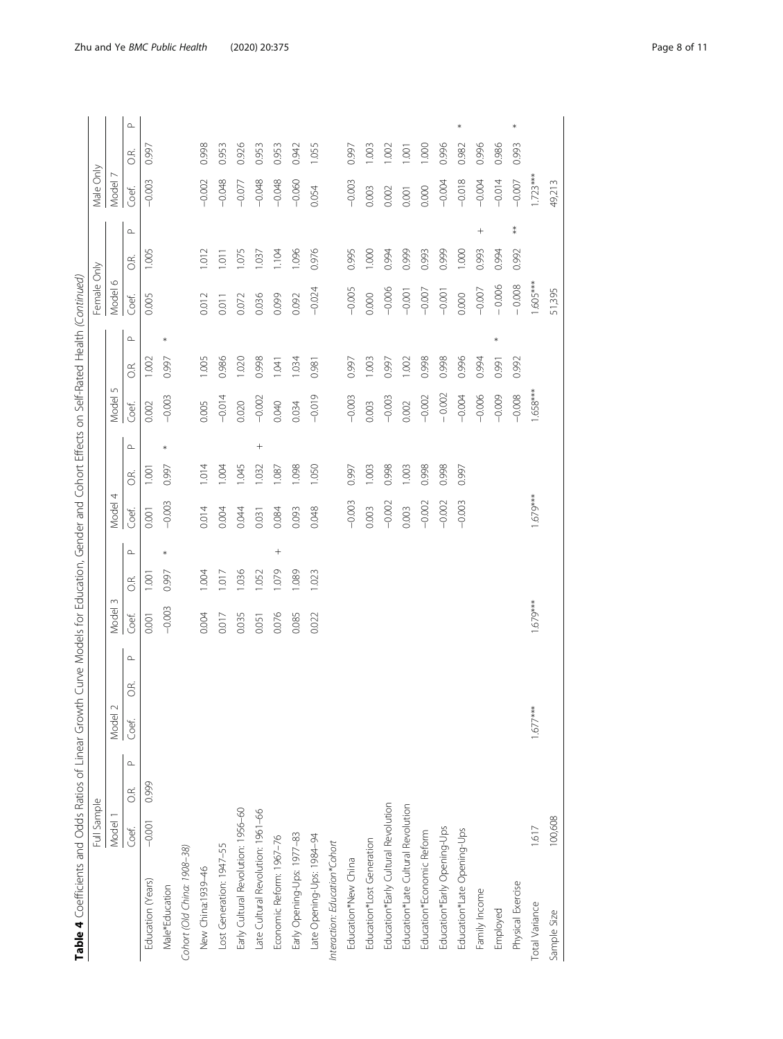| i<br>١                              |  |
|-------------------------------------|--|
|                                     |  |
|                                     |  |
| I                                   |  |
| ١                                   |  |
| J                                   |  |
|                                     |  |
| Ì<br>ׇ֡                             |  |
|                                     |  |
| ı                                   |  |
| l                                   |  |
|                                     |  |
| l                                   |  |
| ١<br>ׇ֚֘                            |  |
| j<br>֠                              |  |
| ı<br>Ï<br>$\mathbf \zeta$<br>Ï<br>I |  |
|                                     |  |
| ١<br>֚֬֕                            |  |
| $\overline{1}$<br>j<br>١            |  |
|                                     |  |
| ١                                   |  |
| ۱                                   |  |
| ١<br>I                              |  |
|                                     |  |
| ۱                                   |  |
| ١<br>1                              |  |
| J                                   |  |
| $\overline{\phantom{a}}$            |  |
| I                                   |  |
| ١<br>ׇ֬֘֕֜                          |  |
| ١<br>$\overline{a}$<br>٦<br>Ĵ       |  |
| j<br>l<br>ļ                         |  |
| İ<br>į                              |  |
| i<br>j<br>ׇ֘֝֕֕֜                    |  |
| )<br>j<br>j                         |  |
| I<br>í<br>:<br>Ĕ                    |  |
| ۵<br>ľ<br>ı                         |  |

| Table 4 Coefficients and Odds Ratios of Linear Growth | Full Sample |                  |            |         |                               |                 |                 | Curve Models for Education, Gender and Cohort Effects on Self-Rated Health (Continued) |   |                 |       |                           |       |        | Female Only             |       |        | Male Only  |       |            |
|-------------------------------------------------------|-------------|------------------|------------|---------|-------------------------------|-----------------|-----------------|----------------------------------------------------------------------------------------|---|-----------------|-------|---------------------------|-------|--------|-------------------------|-------|--------|------------|-------|------------|
|                                                       | Model 1     |                  | Model 2    |         |                               | $\sim$<br>Model |                 | Model                                                                                  | 4 |                 |       | $\mathsf{L}\cap$<br>Model |       |        | $\circ$<br><b>Model</b> |       |        | Model      |       |            |
|                                                       | Coef.       | $\!\Delta$<br>S. | Coef.      | œ,<br>Ö | $\mathop{\hbox{$\triangle$}}$ | Coef.           | ЭŔ.             | Coef.                                                                                  |   | C.R.            | Coef. |                           | C.R   |        | Coef.                   | GŔ.   |        | Coef.      | C.R.  | $\!\Delta$ |
| Education (Years)                                     | $-0.001$    | 0.999            |            |         |                               | 0.001           | $1.00^{-}$      | 0.001                                                                                  |   | $1.00-$         | 0.002 |                           | 1.002 |        | 0.005                   | 1.005 |        | $-0.003$   | 0.997 |            |
| Male*Education                                        |             |                  |            |         |                               | $-0.003$        | $\ast$<br>0.997 | $-0.003$                                                                               |   | 0.997           |       | $-0.003$                  | 0.997 | $\ast$ |                         |       |        |            |       |            |
| Cohort (Old China: 1908-38)                           |             |                  |            |         |                               |                 |                 |                                                                                        |   |                 |       |                           |       |        |                         |       |        |            |       |            |
| New China:1939-46                                     |             |                  |            |         |                               | 0.004           | 1.004           | 0.014                                                                                  |   | 1.014           | 0.005 |                           | 1.005 |        | 0.012                   | .012  |        | $-0.002$   | 0.998 |            |
| Lost Generation: 1947-55                              |             |                  |            |         |                               | 0.017           | $-017$          | 0.004                                                                                  |   | 1.004           |       | $-0.014$                  | 0.986 |        | 0.011                   | 1.011 |        | $-0.048$   | 0.953 |            |
| Early Cultural Revolution: 1956-60                    |             |                  |            |         |                               | 0.035           | 1.036           | 0.044                                                                                  |   | 1.045           | 0.020 |                           | 1.020 |        | 0.072                   | .075  |        | $-0.077$   | 0.926 |            |
| Late Cultural Revolution: 1961-66                     |             |                  |            |         |                               | 0.051           | 1.052           | 0.031                                                                                  |   | $^{+}$<br>1.032 |       | $-0.002$                  | 0.998 |        | 0.036                   | .037  |        | $-0.048$   | 0.953 |            |
| Economic Reform: 1967-76                              |             |                  |            |         |                               | 0.076           | 1.079           | 0.084<br>$^{+}$                                                                        |   | 1.087           | 0.040 |                           | 1.041 |        | 0.099                   | 104   |        | $-0.048$   | 0.953 |            |
| Early Opening-Ups: 1977-83                            |             |                  |            |         |                               | 0.085           | .089            | 0.093                                                                                  |   | 1.098           | 0.034 |                           | 1.034 |        | 0.092                   | .096  |        | $-0.060$   | 0.942 |            |
| Late Opening-Ups: 1984-94                             |             |                  |            |         |                               | 0.022           | 1.023           | 0.048                                                                                  |   | 1.050           |       | $-0.019$                  | 0.981 |        | $-0.024$                | 0.976 |        | 0.054      | 1.055 |            |
| Interaction: Education*Cohort                         |             |                  |            |         |                               |                 |                 |                                                                                        |   |                 |       |                           |       |        |                         |       |        |            |       |            |
| Education*New China                                   |             |                  |            |         |                               |                 |                 | $-0.003$                                                                               |   | 0.997           |       | $-0.003$                  | 0.997 |        | $-0.005$                | 0.995 |        | $-0.003$   | 0.997 |            |
| Education*Lost Generation                             |             |                  |            |         |                               |                 |                 | 0.003                                                                                  |   | 1.003           | 0.003 |                           | 1.003 |        | 0.000                   | 1.000 |        | 0.003      | 003   |            |
| Education*Early Cultural Revolution                   |             |                  |            |         |                               |                 |                 | $-0.002$                                                                               |   | 0.998           |       | $-0.003$                  | 0.997 |        | $-0.006$                | 0.994 |        | 0.002      | 1.002 |            |
| Education*Late Cultural Revolution                    |             |                  |            |         |                               |                 |                 | 0.003                                                                                  |   | 1.003           | 0.002 |                           | 1.002 |        | $-0.001$                | 0.999 |        | 0.001      | 001   |            |
| Education*Economic Reform                             |             |                  |            |         |                               |                 |                 | $-0.002$                                                                               |   | 0.998           |       | $-0.002$                  | 0.998 |        | $-0.007$                | 0.993 |        | 0.000      | 000   |            |
| Education*Early Opening-Ups                           |             |                  |            |         |                               |                 |                 | $-0.002$                                                                               |   | 0.998           |       | $-0.002$                  | 0.998 |        | $-0.001$                | 0.999 |        | $-0.004$   | 0.996 |            |
| Education*Late Opening-Ups                            |             |                  |            |         |                               |                 |                 | $-0.003$                                                                               |   | 0.997           |       | $-0.004$                  | 0.996 |        | 0.000                   | 1.000 |        | $-0.018$   | 0.982 |            |
| Family Income                                         |             |                  |            |         |                               |                 |                 |                                                                                        |   |                 |       | $-0.006$                  | 0.994 |        | $-0.007$                | 0.993 | $^{+}$ | $-0.004$   | 0.996 |            |
| Employed                                              |             |                  |            |         |                               |                 |                 |                                                                                        |   |                 |       | $-0.009$                  | 0.991 | *      | $-0.006$                | 0.994 |        | $-0.014$   | 0.986 |            |
| Physical Exercise                                     |             |                  |            |         |                               |                 |                 |                                                                                        |   |                 |       | $-0.008$                  | 0.992 |        | $-0.008$                | 0.992 | $\ast$ | $-0.007$   | 0.993 | *          |
| Total Variance                                        | 1.617       |                  | $1.677***$ |         |                               | $1.679***$      |                 | $1.679***$                                                                             |   |                 |       | $1.658***$                |       |        | $1.605***$              |       |        | $1.723***$ |       |            |
| Sample Size                                           | 100,608     |                  |            |         |                               |                 |                 |                                                                                        |   |                 |       |                           |       |        | 51,395                  |       |        | 49,213     |       |            |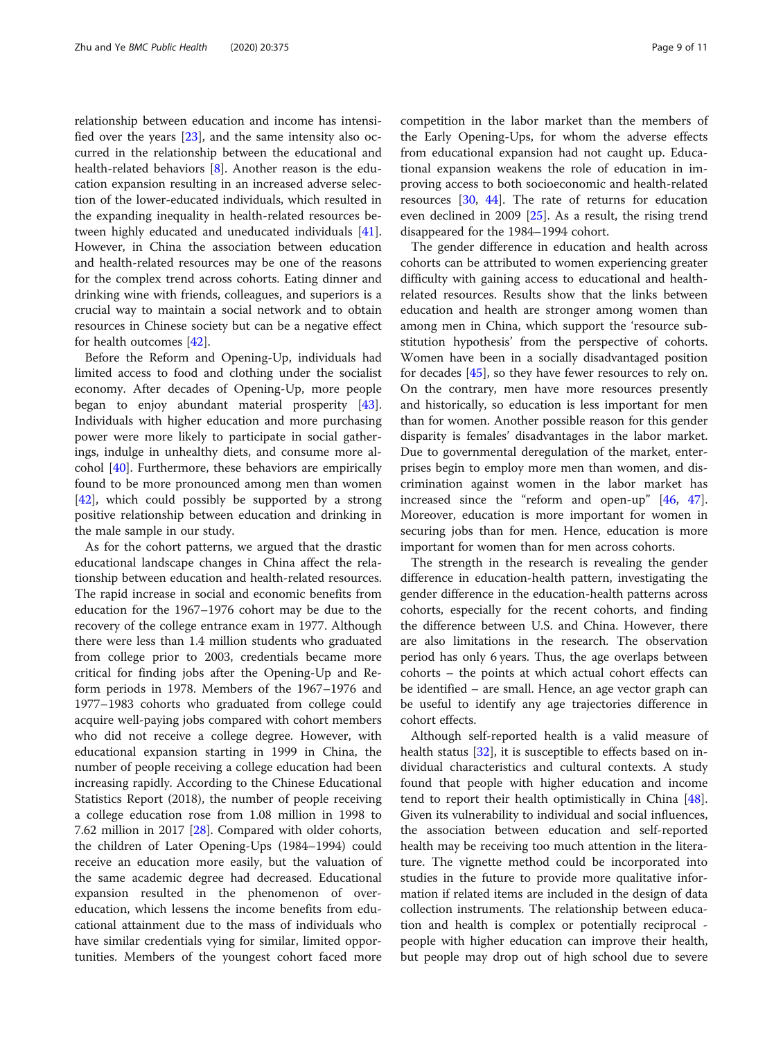relationship between education and income has intensified over the years [[23\]](#page-9-0), and the same intensity also occurred in the relationship between the educational and health-related behaviors [[8\]](#page-9-0). Another reason is the education expansion resulting in an increased adverse selection of the lower-educated individuals, which resulted in the expanding inequality in health-related resources between highly educated and uneducated individuals [\[41](#page-10-0)]. However, in China the association between education and health-related resources may be one of the reasons for the complex trend across cohorts. Eating dinner and drinking wine with friends, colleagues, and superiors is a crucial way to maintain a social network and to obtain resources in Chinese society but can be a negative effect for health outcomes [[42\]](#page-10-0).

Before the Reform and Opening-Up, individuals had limited access to food and clothing under the socialist economy. After decades of Opening-Up, more people began to enjoy abundant material prosperity [\[43](#page-10-0)]. Individuals with higher education and more purchasing power were more likely to participate in social gatherings, indulge in unhealthy diets, and consume more alcohol [[40\]](#page-10-0). Furthermore, these behaviors are empirically found to be more pronounced among men than women [[42\]](#page-10-0), which could possibly be supported by a strong positive relationship between education and drinking in the male sample in our study.

As for the cohort patterns, we argued that the drastic educational landscape changes in China affect the relationship between education and health-related resources. The rapid increase in social and economic benefits from education for the 1967–1976 cohort may be due to the recovery of the college entrance exam in 1977. Although there were less than 1.4 million students who graduated from college prior to 2003, credentials became more critical for finding jobs after the Opening-Up and Reform periods in 1978. Members of the 1967–1976 and 1977–1983 cohorts who graduated from college could acquire well-paying jobs compared with cohort members who did not receive a college degree. However, with educational expansion starting in 1999 in China, the number of people receiving a college education had been increasing rapidly. According to the Chinese Educational Statistics Report (2018), the number of people receiving a college education rose from 1.08 million in 1998 to 7.62 million in 2017 [\[28\]](#page-10-0). Compared with older cohorts, the children of Later Opening-Ups (1984–1994) could receive an education more easily, but the valuation of the same academic degree had decreased. Educational expansion resulted in the phenomenon of overeducation, which lessens the income benefits from educational attainment due to the mass of individuals who have similar credentials vying for similar, limited opportunities. Members of the youngest cohort faced more competition in the labor market than the members of the Early Opening-Ups, for whom the adverse effects from educational expansion had not caught up. Educational expansion weakens the role of education in improving access to both socioeconomic and health-related resources [[30,](#page-10-0) [44](#page-10-0)]. The rate of returns for education even declined in 2009 [\[25](#page-9-0)]. As a result, the rising trend disappeared for the 1984–1994 cohort.

The gender difference in education and health across cohorts can be attributed to women experiencing greater difficulty with gaining access to educational and healthrelated resources. Results show that the links between education and health are stronger among women than among men in China, which support the 'resource substitution hypothesis' from the perspective of cohorts. Women have been in a socially disadvantaged position for decades [\[45](#page-10-0)], so they have fewer resources to rely on. On the contrary, men have more resources presently and historically, so education is less important for men than for women. Another possible reason for this gender disparity is females' disadvantages in the labor market. Due to governmental deregulation of the market, enterprises begin to employ more men than women, and discrimination against women in the labor market has increased since the "reform and open-up" [[46](#page-10-0), [47](#page-10-0)]. Moreover, education is more important for women in securing jobs than for men. Hence, education is more important for women than for men across cohorts.

The strength in the research is revealing the gender difference in education-health pattern, investigating the gender difference in the education-health patterns across cohorts, especially for the recent cohorts, and finding the difference between U.S. and China. However, there are also limitations in the research. The observation period has only 6 years. Thus, the age overlaps between cohorts – the points at which actual cohort effects can be identified – are small. Hence, an age vector graph can be useful to identify any age trajectories difference in cohort effects.

Although self-reported health is a valid measure of health status [[32\]](#page-10-0), it is susceptible to effects based on individual characteristics and cultural contexts. A study found that people with higher education and income tend to report their health optimistically in China [\[48](#page-10-0)]. Given its vulnerability to individual and social influences, the association between education and self-reported health may be receiving too much attention in the literature. The vignette method could be incorporated into studies in the future to provide more qualitative information if related items are included in the design of data collection instruments. The relationship between education and health is complex or potentially reciprocal people with higher education can improve their health, but people may drop out of high school due to severe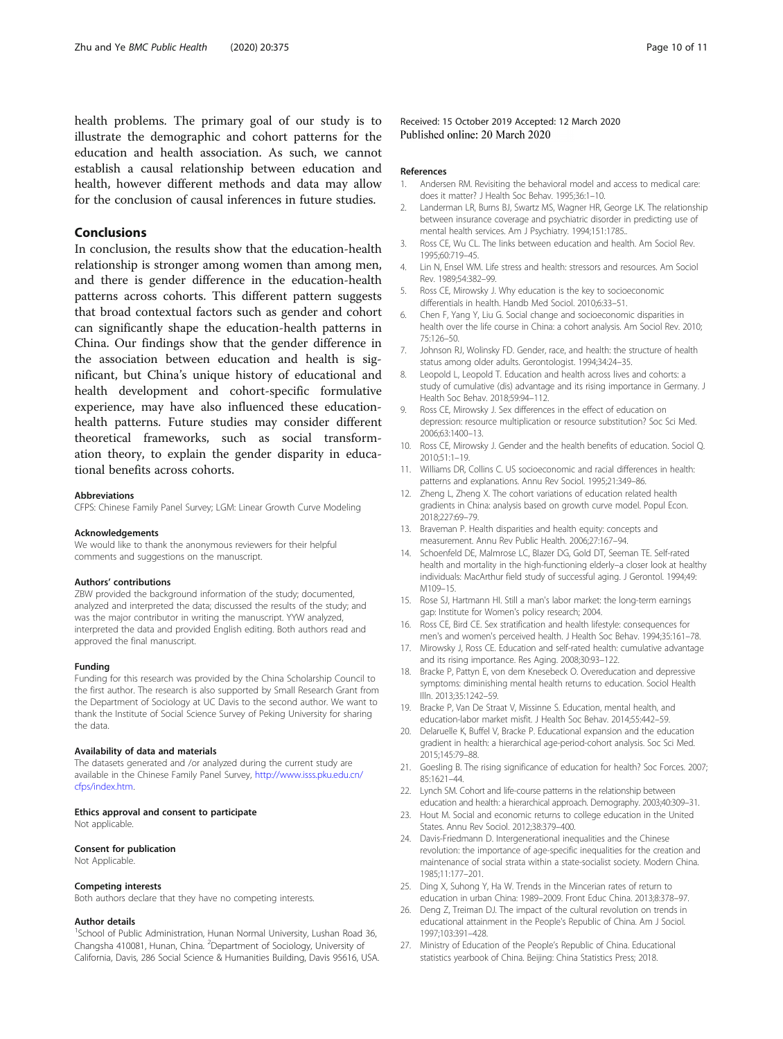<span id="page-9-0"></span>health problems. The primary goal of our study is to illustrate the demographic and cohort patterns for the education and health association. As such, we cannot establish a causal relationship between education and health, however different methods and data may allow for the conclusion of causal inferences in future studies.

## Conclusions

In conclusion, the results show that the education-health relationship is stronger among women than among men, and there is gender difference in the education-health patterns across cohorts. This different pattern suggests that broad contextual factors such as gender and cohort can significantly shape the education-health patterns in China. Our findings show that the gender difference in the association between education and health is significant, but China's unique history of educational and health development and cohort-specific formulative experience, may have also influenced these educationhealth patterns. Future studies may consider different theoretical frameworks, such as social transformation theory, to explain the gender disparity in educational benefits across cohorts.

#### Abbreviations

CFPS: Chinese Family Panel Survey; LGM: Linear Growth Curve Modeling

#### Acknowledgements

We would like to thank the anonymous reviewers for their helpful comments and suggestions on the manuscript.

#### Authors' contributions

ZBW provided the background information of the study; documented, analyzed and interpreted the data; discussed the results of the study; and was the major contributor in writing the manuscript. YYW analyzed, interpreted the data and provided English editing. Both authors read and approved the final manuscript.

#### Funding

Funding for this research was provided by the China Scholarship Council to the first author. The research is also supported by Small Research Grant from the Department of Sociology at UC Davis to the second author. We want to thank the Institute of Social Science Survey of Peking University for sharing the data.

#### Availability of data and materials

The datasets generated and /or analyzed during the current study are available in the Chinese Family Panel Survey, [http://www.isss.pku.edu.cn/](http://www.isss.pku.edu.cn/cfps/index.htm) [cfps/index.htm](http://www.isss.pku.edu.cn/cfps/index.htm).

#### Ethics approval and consent to participate

Not applicable.

#### Consent for publication

Not Applicable.

#### Competing interests

Both authors declare that they have no competing interests.

#### Author details

<sup>1</sup>School of Public Administration, Hunan Normal University, Lushan Road 36, Changsha 410081, Hunan, China. <sup>2</sup>Department of Sociology, University of California, Davis, 286 Social Science & Humanities Building, Davis 95616, USA.

Received: 15 October 2019 Accepted: 12 March 2020 Published online: 20 March 2020

#### References

- 1. Andersen RM. Revisiting the behavioral model and access to medical care: does it matter? J Health Soc Behav. 1995;36:1–10.
- 2. Landerman LR, Burns BJ, Swartz MS, Wagner HR, George LK. The relationship between insurance coverage and psychiatric disorder in predicting use of mental health services. Am J Psychiatry. 1994;151:1785..
- 3. Ross CE, Wu CL. The links between education and health. Am Sociol Rev. 1995;60:719–45.
- 4. Lin N, Ensel WM. Life stress and health: stressors and resources. Am Sociol Rev. 1989;54:382–99.
- 5. Ross CE, Mirowsky J. Why education is the key to socioeconomic differentials in health. Handb Med Sociol. 2010;6:33–51.
- 6. Chen F, Yang Y, Liu G. Social change and socioeconomic disparities in health over the life course in China: a cohort analysis. Am Sociol Rev. 2010; 75:126–50.
- 7. Johnson RJ, Wolinsky FD. Gender, race, and health: the structure of health status among older adults. Gerontologist. 1994;34:24–35.
- 8. Leopold L, Leopold T. Education and health across lives and cohorts: a study of cumulative (dis) advantage and its rising importance in Germany. J Health Soc Behav. 2018;59:94–112.
- 9. Ross CE, Mirowsky J. Sex differences in the effect of education on depression: resource multiplication or resource substitution? Soc Sci Med. 2006;63:1400–13.
- 10. Ross CE, Mirowsky J. Gender and the health benefits of education. Sociol Q. 2010;51:1–19.
- 11. Williams DR, Collins C. US socioeconomic and racial differences in health: patterns and explanations. Annu Rev Sociol. 1995;21:349–86.
- 12. Zheng L, Zheng X. The cohort variations of education related health gradients in China: analysis based on growth curve model. Popul Econ. 2018;227:69–79.
- 13. Braveman P. Health disparities and health equity: concepts and measurement. Annu Rev Public Health. 2006;27:167–94.
- 14. Schoenfeld DE, Malmrose LC, Blazer DG, Gold DT, Seeman TE. Self-rated health and mortality in the high-functioning elderly–a closer look at healthy individuals: MacArthur field study of successful aging. J Gerontol. 1994;49: M109–15.
- 15. Rose SJ, Hartmann HI. Still a man's labor market: the long-term earnings gap: Institute for Women's policy research; 2004.
- 16. Ross CE, Bird CE. Sex stratification and health lifestyle: consequences for men's and women's perceived health. J Health Soc Behav. 1994;35:161–78.
- 17. Mirowsky J, Ross CE. Education and self-rated health: cumulative advantage and its rising importance. Res Aging. 2008;30:93–122.
- 18. Bracke P, Pattyn E, von dem Knesebeck O. Overeducation and depressive symptoms: diminishing mental health returns to education. Sociol Health Illn. 2013;35:1242–59.
- 19. Bracke P, Van De Straat V, Missinne S. Education, mental health, and education-labor market misfit. J Health Soc Behav. 2014;55:442–59.
- 20. Delaruelle K, Buffel V, Bracke P. Educational expansion and the education gradient in health: a hierarchical age-period-cohort analysis. Soc Sci Med. 2015;145:79–88.
- 21. Goesling B. The rising significance of education for health? Soc Forces. 2007; 85:1621–44.
- 22. Lynch SM. Cohort and life-course patterns in the relationship between education and health: a hierarchical approach. Demography. 2003;40:309–31.
- 23. Hout M. Social and economic returns to college education in the United States. Annu Rev Sociol. 2012;38:379–400.
- 24. Davis-Friedmann D. Intergenerational inequalities and the Chinese revolution: the importance of age-specific inequalities for the creation and maintenance of social strata within a state-socialist society. Modern China. 1985;11:177–201.
- 25. Ding X, Suhong Y, Ha W. Trends in the Mincerian rates of return to education in urban China: 1989–2009. Front Educ China. 2013;8:378–97.
- 26. Deng Z, Treiman DJ. The impact of the cultural revolution on trends in educational attainment in the People's Republic of China. Am J Sociol. 1997;103:391–428.
- 27. Ministry of Education of the People's Republic of China. Educational statistics yearbook of China. Beijing: China Statistics Press; 2018.